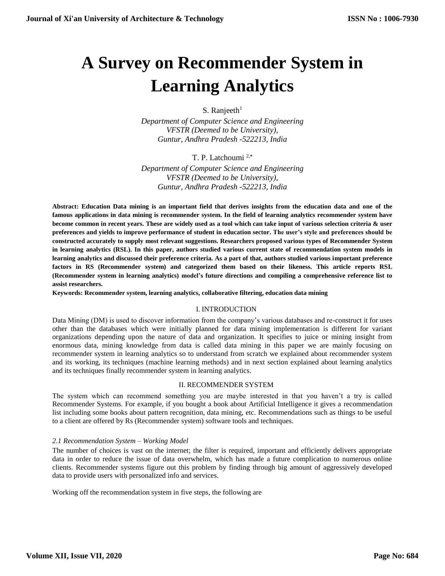# **A Survey on Recommender System in Learning Analytics**

S. Ranjeeth $1$ 

*Department of Computer Science and Engineering VFSTR (Deemed to be University), Guntur, Andhra Pradesh -522213, India*

T. P. Latchoumi 2,**\***

*Department of Computer Science and Engineering VFSTR (Deemed to be University), Guntur, Andhra Pradesh -522213, India*

**Abstract: Education Data mining is an important field that derives insights from the education data and one of the famous applications in data mining is recommender system. In the field of learning analytics recommender system have become common in recent years. These are widely used as a tool which can take input of various selection criteria & user preferences and yields to improve performance of student in education sector. The user's style and preferences should be constructed accurately to supply most relevant suggestions. Researchers proposed various types of Recommender System in learning analytics (RSL). In this paper, authors studied various current state of recommendation system models in learning analytics and discussed their preference criteria. As a part of that, authors studied various important preference factors in RS (Recommender system) and categorized them based on their likeness. This article reports RSL (Recommender system in learning analytics) model's future directions and compiling a comprehensive reference list to assist researchers.** 

**Keywords: Recommender system, learning analytics, collaborative filtering, education data mining**

## I. INTRODUCTION

Data Mining (DM) is used to discover information from the company's various databases and re-construct it for uses other than the databases which were initially planned for data mining implementation is different for variant organizations depending upon the nature of data and organization. It specifies to juice or mining insight from enormous data, mining knowledge from data is called data mining in this paper we are mainly focusing on recommender system in learning analytics so to understand from scratch we explained about recommender system and its working, its techniques (machine learning methods) and in next section explained about learning analytics and its techniques finally recommender system in learning analytics.

## II. RECOMMENDER SYSTEM

The system which can recommend something you are maybe interested in that you haven't a try is called Recommender Systems. For example, if you bought a book about Artificial Intelligence it gives a recommendation list including some books about pattern recognition, data mining, etc. Recommendations such as things to be useful to a client are offered by Rs (Recommender system) software tools and techniques.

## *2.1 Recommendation System – Working Model*

The number of choices is vast on the internet; the filter is required, important and efficiently delivers appropriate data in order to reduce the issue of data overwhelm, which has made a future complication to numerous online clients. Recommender systems figure out this problem by finding through big amount of aggressively developed data to provide users with personalized info and services.

Working off the recommendation system in five steps, the following are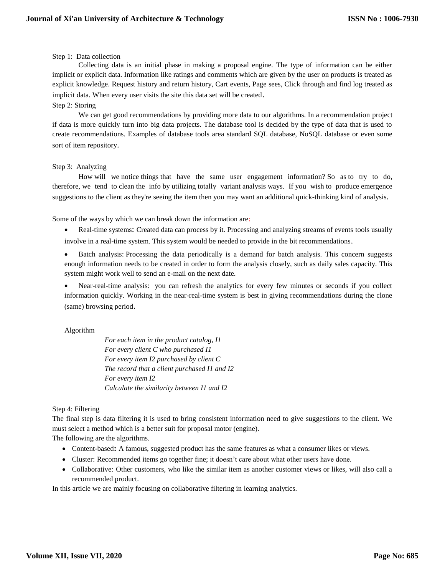## Step 1: Data collection

Collecting data is an initial phase in making a proposal engine. The type of information can be either implicit or explicit data. Information like ratings and comments which are given by the user on products is treated as explicit knowledge. Request history and return history, Cart events, Page sees, Click through and find log treated as implicit data. When every user visits the site this data set will be created.

## Step 2: Storing

We can get good recommendations by providing more data to our algorithms. In a recommendation project if data is more quickly turn into big data projects. The database tool is decided by the type of data that is used to create recommendations. Examples of database tools area standard SQL database, NoSQL database or even some sort of item repository.

## Step 3: Analyzing

How will we notice things that have the same user engagement information? So as to try to do, therefore, we tend to clean the info by utilizing totally variant analysis ways. If you wish to produce emergence suggestions to the client as they're seeing the item then you may want an additional quick-thinking kind of analysis.

Some of the ways by which we can break down the information are:

 Real-time systems: Created data can process by it. Processing and analyzing streams of events tools usually involve in a real-time system. This system would be needed to provide in the bit recommendations.

 Batch analysis: Processing the data periodically is a demand for batch analysis. This concern suggests enough information needs to be created in order to form the analysis closely, such as daily sales capacity. This system might work well to send an e-mail on the next date.

 Near-real-time analysis: you can refresh the analytics for every few minutes or seconds if you collect information quickly. Working in the near-real-time system is best in giving recommendations during the clone (same) browsing period.

## Algorithm

*For each item in the product catalog, I1 For every client C who purchased I1 For every item I2 purchased by client C The record that a client purchased I1 and I2 For every item I2 Calculate the similarity between I1 and I2*

## Step 4: Filtering

The final step is data filtering it is used to bring consistent information need to give suggestions to the client. We must select a method which is a better suit for proposal motor (engine).

The following are the algorithms.

- Content-based**:** A famous, suggested product has the same features as what a consumer likes or views.
- Cluster: Recommended items go together fine; it doesn't care about what other users have done.
- Collaborative: Other customers, who like the similar item as another customer views or likes, will also call a recommended product.

In this article we are mainly focusing on collaborative filtering in learning analytics.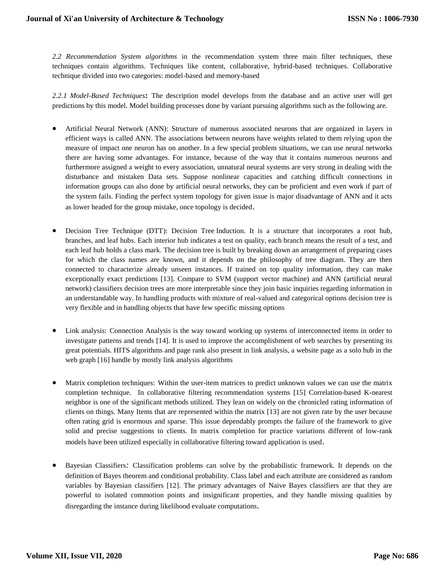*2.2 Recommendation System algorithms* in the recommendation system three main filter techniques, these techniques contain algorithms. Techniques like content, collaborative, hybrid-based techniques. Collaborative technique divided into two categories: model-based and memory-based

*2.2.1 Model-Based Techniques***:** The description model develops from the database and an active user will get predictions by this model. Model building processes done by variant pursuing algorithms such as the following are.

- Artificial Neural Network (ANN): Structure of numerous associated neurons that are organized in layers in efficient ways is called ANN. The associations between neurons have weights related to them relying upon the measure of impact one neuron has on another. In a few special problem situations, we can use neural networks there are having some advantages. For instance, because of the way that it contains numerous neurons and furthermore assigned a weight to every association, unnatural neural systems are very strong in dealing with the disturbance and mistaken Data sets. Suppose nonlinear capacities and catching difficult connections in information groups can also done by artificial neural networks, they can be proficient and even work if part of the system fails. Finding the perfect system topology for given issue is major disadvantage of ANN and it acts as lower headed for the group mistake, once topology is decided.
- Decision Tree Technique (DTT): Decision Tree Induction. It is a structure that incorporates a root hub, branches, and leaf hubs. Each interior hub indicates a test on quality, each branch means the result of a test, and each leaf hub holds a class mark. The decision tree is built by breaking down an arrangement of preparing cases for which the class names are known, and it depends on the philosophy of tree diagram. They are then connected to characterize already unseen instances. If trained on top quality information, they can make exceptionally exact predictions [13]. Compare to SVM (support vector machine) and ANN (artificial neural network) classifiers decision trees are more interpretable since they join basic inquiries regarding information in an understandable way. In handling products with mixture of real-valued and categorical options decision tree is very flexible and in handling objects that have few specific missing options
- Link analysis: Connection Analysis is the way toward working up systems of interconnected items in order to investigate patterns and trends [14]. It is used to improve the accomplishment of web searches by presenting its great potentials. HITS algorithms and page rank also present in link analysis, a website page as a solo hub in the web graph [16] handle by mostly link analysis algorithms
- Matrix completion techniques: Within the user-item matrices to predict unknown values we can use the matrix completion technique. In collaborative filtering recommendation systems [15] Correlation-based K-nearest neighbor is one of the significant methods utilized. They lean on widely on the chronicled rating information of clients on things. Many Items that are represented within the matrix [13] are not given rate by the user because often rating grid is enormous and sparse. This issue dependably prompts the failure of the framework to give solid and precise suggestions to clients. In matrix completion for practice variations different of low-rank models have been utilized especially in collaborative filtering toward application is used.
- Bayesian Classifiers*:* Classification problems can solve by the probabilistic framework. It depends on the definition of Bayes theorem and conditional probability. Class label and each attribute are considered as random variables by Bayesian classifiers [12]. The primary advantages of Naive Bayes classifiers are that they are powerful to isolated commotion points and insignificant properties, and they handle missing qualities by disregarding the instance during likelihood evaluate computations.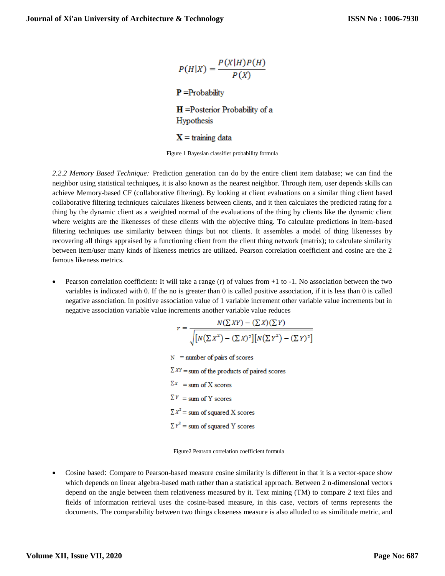$$
P(H|X) = \frac{P(X|H)P(H)}{P(X)}
$$
  
**P** =Probability  
**H** =Posterior Probability of a  
Hypothesis  
**X** = training data

Figure 1 Bayesian classifier probability formula

*2.2.2 Memory Based Technique:* Prediction generation can do by the entire client item database; we can find the neighbor using statistical techniques**,** it is also known as the nearest neighbor. Through item, user depends skills can achieve Memory-based CF (collaborative filtering). By looking at client evaluations on a similar thing client based collaborative filtering techniques calculates likeness between clients, and it then calculates the predicted rating for a thing by the dynamic client as a weighted normal of the evaluations of the thing by clients like the dynamic client where weights are the likenesses of these clients with the objective thing. To calculate predictions in item-based filtering techniques use similarity between things but not clients. It assembles a model of thing likenesses by recovering all things appraised by a functioning client from the client thing network (matrix); to calculate similarity between item/user many kinds of likeness metrics are utilized. Pearson correlation coefficient and cosine are the 2 famous likeness metrics.

 Pearson correlation coefficient**:** It will take a range (r) of values from +1 to -1. No association between the two variables is indicated with 0. If the no is greater than 0 is called positive association, if it is less than 0 is called negative association. In positive association value of 1 variable increment other variable value increments but in negative association variable value increments another variable value reduces

$$
r = \frac{N(\Sigma XY) - (\Sigma X)(\Sigma Y)}{\sqrt{[N(\Sigma X^2) - (\Sigma X)^2][N(\Sigma Y^2) - (\Sigma Y)^2]}}
$$
  
N = number of pairs of scores  
 $\Sigma XY = sum$  of the products of paired scores  
 $\Sigma X = sum$  of X scores  
 $\Sigma Y = sum$  of Y scores  
 $\Sigma X^2 = sum$  of squared X scores  
 $\Sigma Y^2 = sum$  of squared Y scores

 $M(\nabla \nu U) = (\nabla \nu)(\nabla \nu)$ 

Figure2 Pearson correlation coefficient formula

 Cosine based: Compare to Pearson-based measure cosine similarity is different in that it is a vector-space show which depends on linear algebra-based math rather than a statistical approach. Between 2 n-dimensional vectors depend on the angle between them relativeness measured by it. Text mining (TM) to compare 2 text files and fields of information retrieval uses the cosine-based measure, in this case, vectors of terms represents the documents. The comparability between two things closeness measure is also alluded to as similitude metric, and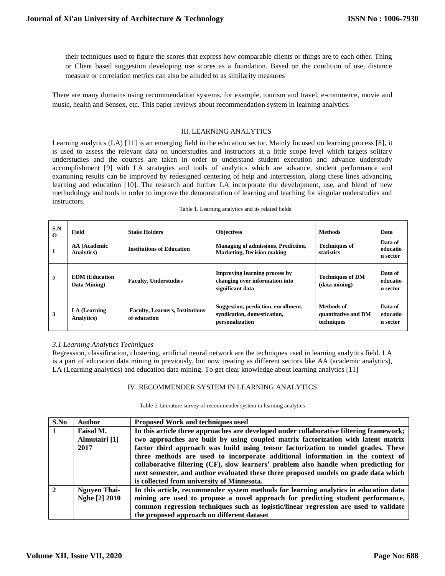their techniques used to figure the scores that express how comparable clients or things are to each other. Thing or Client based suggestion developing use scores as a foundation. Based on the condition of use, distance measure or correlation metrics can also be alluded to as similarity measures

There are many domains using recommendation systems, for example, tourism and travel, e-commerce, movie and music, health and Sensex, etc. This paper reviews about recommendation system in learning analytics.

# III. LEARNING ANALYTICS

Learning analytics (LA) [11] is an emerging field in the education sector. Mainly focused on learning process [8], it is used to assess the relevant data on understudies and instructors at a little scope level which targets solitary understudies and the courses are taken in order to understand student execution and advance understudy accomplishment [9] with LA strategies and tools of analytics which are advance, student performance and examining results can be improved by redesigned centering of help and intercession, along these lines advancing learning and education [10]. The research and further LA incorporate the development, use, and blend of new methodology and tools in order to improve the demonstration of learning and teaching for singular understudies and instructors.

| S.N<br>$\Omega$ | Field                                 | <b>Stake Holders</b>                                   | <b>Objectives</b>                                                                          | <b>Methods</b>                                  | Data                            |
|-----------------|---------------------------------------|--------------------------------------------------------|--------------------------------------------------------------------------------------------|-------------------------------------------------|---------------------------------|
| л               | AA (Academic<br><b>Analytics</b> )    | <b>Institutions of Education</b>                       | <b>Managing of admissions, Prediction,</b><br><b>Marketing, Decision making</b>            | <b>Techniques of</b><br>statistics              | Data of<br>educatio<br>n sector |
| $\mathbf{2}$    | <b>EDM</b> (Education<br>Data Mining) | <b>Faculty, Understudies</b>                           | <b>Improving learning process by</b><br>changing over information into<br>significant data | <b>Techniques of DM</b><br>(data mining)        | Data of<br>educatio<br>n sector |
| 3               | LA (Learning<br><b>Analytics</b> )    | <b>Faculty, Learners, Institutions</b><br>of education | Suggestion, prediction, enrollment,<br>syndication, domestication,<br>personalization      | Methods of<br>quantitative and DM<br>techniques | Data of<br>educatio<br>n sector |

| Table 1. Learning analytics and its related fields |  |  |  |  |  |
|----------------------------------------------------|--|--|--|--|--|
|----------------------------------------------------|--|--|--|--|--|

#### *3.1 Learning Analytics Techniques*

Regression, classification, clustering, artificial neural network are the techniques used in learning analytics field. LA is a part of education data mining in previously, but now treating as different sectors like AA (academic analytics), LA (Learning analytics) and education data mining. To get clear knowledge about learning analytics [11]

#### IV. RECOMMENDER SYSTEM IN LEARNING ANALYTICS

Table-2 Literature survey of recommender system in learning analytics

| S.No          | <b>Author</b>       | <b>Proposed Work and techniques used</b>                                                |  |
|---------------|---------------------|-----------------------------------------------------------------------------------------|--|
| 1             | Faisal M.           | In this article three approaches are developed under collaborative filtering framework; |  |
|               | Almutairi [1]       | two approaches are built by using coupled matrix factorization with latent matrix       |  |
|               | 2017                | factor third approach was build using tensor factorization to model grades. These       |  |
|               |                     | three methods are used to incorporate additional information in the context of          |  |
|               |                     | collaborative filtering (CF), slow learners' problem also handle when predicting for    |  |
|               |                     | next semester, and author evaluated these three proposed models on grade data which     |  |
|               |                     | is collected from university of Minnesota.                                              |  |
| $\mathcal{D}$ | <b>Nguyen Thai-</b> | In this article, recommender system methods for learning analytics in education data    |  |
|               | Nghe [2] 2010       | mining are used to propose a novel approach for predicting student performance,         |  |
|               |                     | common regression techniques such as logistic/linear regression are used to validate    |  |
|               |                     | the proposed approach on different dataset                                              |  |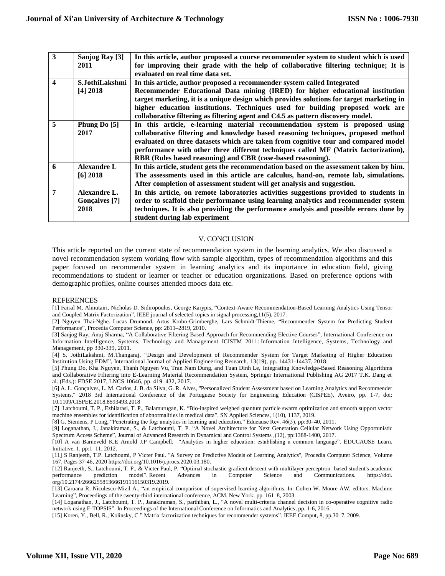| $\overline{\mathbf{3}}$ | Sanjog Ray [3]       | In this article, author proposed a course recommender system to student which is used    |
|-------------------------|----------------------|------------------------------------------------------------------------------------------|
|                         | 2011                 | for improving their grade with the help of collaborative filtering technique; It is      |
|                         |                      | evaluated on real time data set.                                                         |
| $\overline{\mathbf{4}}$ | S.JothiLakshmi       | In this article, author proposed a recommender system called Integrated                  |
|                         | [4] 2018             | Recommender Educational Data mining (IRED) for higher educational institution            |
|                         |                      | target marketing, it is a unique design which provides solutions for target marketing in |
|                         |                      | higher education institutions. Techniques used for building proposed work are            |
|                         |                      | collaborative filtering as filtering agent and C4.5 as pattern discovery model.          |
| 5                       | Phung Do [5]         | In this article, e-learning material recommendation system is proposed using             |
|                         | 2017                 | collaborative filtering and knowledge based reasoning techniques, proposed method        |
|                         |                      | evaluated on three datasets which are taken from cognitive tour and compared model       |
|                         |                      | performance with other three different techniques called MF (Matrix factorization),      |
|                         |                      | RBR (Rules based reasoning) and CBR (case-based reasoning).                              |
| 6                       | <b>Alexandre L</b>   | In this article, student gets the recommendation based on the assessment taken by him.   |
|                         | $[6]$ 2018           | The assessments used in this article are calculus, hand-on, remote lab, simulations.     |
|                         |                      | After completion of assessment student will get analysis and suggestion.                 |
| 7                       | Alexandre L.         | In this article, on remote laboratories activities suggestions provided to students in   |
|                         | <b>Gonçalves</b> [7] | order to scaffold their performance using learning analytics and recommender system      |
|                         | 2018                 | techniques. It is also providing the performance analysis and possible errors done by    |
|                         |                      | student during lab experiment                                                            |

## V. CONCLUSION

This article reported on the current state of recommendation system in the learning analytics. We also discussed a novel recommendation system working flow with sample algorithm, types of recommendation algorithms and this paper focused on recommender system in learning analytics and its importance in education field, giving recommendations to student or learner or teacher or education organizations. Based on preference options with demographic profiles, online courses attended moocs data etc.

#### REFERENCES

[1] Faisal M. Almutairi, Nicholas D. Sidiropoulos, George Karypis, "Context-Aware Recommendation-Based Learning Analytics Using Tensor and Coupled Matrix Factorization", IEEE journal of selected topics in signal processing,11(5), 2017.

[2] Nguyen Thai-Nghe, Lucas Drumond, Artus Krohn-Grimberghe, Lars Schmidt-Thieme, "Recommender System for Predicting Student Performance", Procedia Computer Science, pp: 2811–2819, 2010.

[3] Sanjog Ray, Anuj Sharma, "A Collaborative Filtering Based Approach for Recommending Elective Courses", [International Conference on](https://link.springer.com/conference/icistm)  [Information Intelligence, Systems, Technology and Management](https://link.springer.com/conference/icistm) ICISTM 2011: [Information Intelligence, Systems, Technology and](https://link.springer.com/book/10.1007/978-3-642-19423-8)  [Management,](https://link.springer.com/book/10.1007/978-3-642-19423-8) pp 330-339, 2011.

[4] S. JothiLakshmi, M.Thangaraj, "Design and Development of Recommender System for Target Marketing of Higher Education Institution Using EDM", International Journal of Applied Engineering Research, 13(19), pp. 14431-14437, 2018.

[5] Phung Do, Kha Nguyen, Thanh Nguyen Vu, Tran Nam Dung, and Tuan Dinh Le, Integrating Knowledge-Based Reasoning Algorithms and Collaborative Filtering into E-Learning Material Recommendation System, Springer International Publishing AG 2017 T.K. Dang et al. (Eds.): FDSE 2017, LNCS 10646, pp. 419–432, 2017.

[6] A. L. Gonçalves, L. M. Carlos, J. B. da Silva, G. R. Alves, "Personalized Student Assessment based on Learning Analytics and Recommender Systems," 2018 3rd International Conference of the Portuguese Society for Engineering Education (CISPEE), Aveiro, pp. 1-7, doi: 10.1109/CISPEE.2018.8593493.2018

[7] Latchoumi, T. P., Ezhilarasi, T. P., Balamurugan, K. "Bio-inspired weighed quantum particle swarm optimization and smooth support vector machine ensembles for identification of abnormalities in medical data". SN Applied Sciences, 1(10), 1137, 2019.

[8] G. Siemens, P Long, "Penetrating the fog: analytics in learning and education." Educause Rev. 46(5), pp:30–40, 2011.

[9] Loganathan, J., Janakiraman, S., & Latchoumi, T. P. "A Novel Architecture for Next Generation Cellular Network Using Opportunistic Spectrum Access Scheme", Journal of Advanced Research in Dynamical and Control Systems ,(12), pp:1388-1400, 2017.

[10] A van Barneveld K.E Arnold J.P Campbell, "Analytics in higher education: establishing a common language". EDUCAUSE Learn. Initiative. 1, pp:1–11, 2012.

[11] S Ranjeeth, T.P. Latchoumi, P Victer Paul. "A Survey on Predictive Models of Learning Analytics", [Procedia Computer Science,](https://www.sciencedirect.com/science/journal/18770509) [Volume](https://www.sciencedirect.com/science/journal/18770509/167/supp/C)  [167,](https://www.sciencedirect.com/science/journal/18770509/167/supp/C) Pages 37-46, 202[0 https://doi.org/10.1016/j.procs.2020.03.180.](https://doi.org/10.1016/j.procs.2020.03.180)

[12] Ranjeeth, S., Latchoumi, T. P., & Victer Paul, P. "Optimal stochastic gradient descent with multilayer perceptron based student's academic performance prediction model". Recent Advances in Computer Science and Communications. https://doi. org/10.2174/2666255813666191116150319.2019.

[13] Caruana R, Niculescu-Mizil A., "an empirical comparison of supervised learning algorithms. In: Cohen W. Moore AW, editors. Machine Learning", Proceedings of the twenty-third international conference, ACM, New York; pp. 161–8, 2003.

[14] Loganathan, J., Latchoumi, T. P., Janakiraman, S., parthiban, L., "A novel multi-criteria channel decision in co-operative cognitive radio network using E-TOPSIS". In Proceedings of the International Conference on Informatics and Analytics, pp. 1-6, 2016.

[15] Koren, Y., Bell, R., Kolinsky, C." Matrix factorization techniques for recommender systems". IEEE Comput, 8, pp.30–7, 2009.